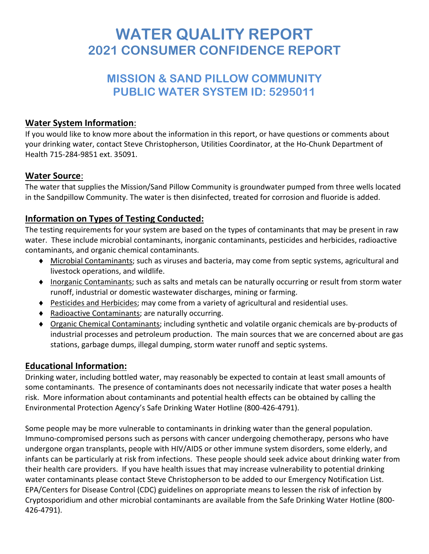# **WATER QUALITY REPORT 2021 CONSUMER CONFIDENCE REPORT**

# **MISSION & SAND PILLOW COMMUNITY PUBLIC WATER SYSTEM ID: 5295011**

#### **Water System Information**:

If you would like to know more about the information in this report, or have questions or comments about your drinking water, contact Steve Christopherson, Utilities Coordinator, at the Ho-Chunk Department of Health 715-284-9851 ext. 35091.

#### **Water Source**:

The water that supplies the Mission/Sand Pillow Community is groundwater pumped from three wells located in the Sandpillow Community. The water is then disinfected, treated for corrosion and fluoride is added.

# **Information on Types of Testing Conducted:**

The testing requirements for your system are based on the types of contaminants that may be present in raw water. These include microbial contaminants, inorganic contaminants, pesticides and herbicides, radioactive contaminants, and organic chemical contaminants.

- ♦ Microbial Contaminants; such as viruses and bacteria, may come from septic systems, agricultural and livestock operations, and wildlife.
- ♦ Inorganic Contaminants; such as salts and metals can be naturally occurring or result from storm water runoff, industrial or domestic wastewater discharges, mining or farming.
- ♦ Pesticides and Herbicides; may come from a variety of agricultural and residential uses.
- ♦ Radioactive Contaminants; are naturally occurring.
- ♦ Organic Chemical Contaminants; including synthetic and volatile organic chemicals are by-products of industrial processes and petroleum production. The main sources that we are concerned about are gas stations, garbage dumps, illegal dumping, storm water runoff and septic systems.

# **Educational Information:**

Drinking water, including bottled water, may reasonably be expected to contain at least small amounts of some contaminants. The presence of contaminants does not necessarily indicate that water poses a health risk. More information about contaminants and potential health effects can be obtained by calling the Environmental Protection Agency's Safe Drinking Water Hotline (800-426-4791).

Some people may be more vulnerable to contaminants in drinking water than the general population. Immuno-compromised persons such as persons with cancer undergoing chemotherapy, persons who have undergone organ transplants, people with HIV/AIDS or other immune system disorders, some elderly, and infants can be particularly at risk from infections. These people should seek advice about drinking water from their health care providers. If you have health issues that may increase vulnerability to potential drinking water contaminants please contact Steve Christopherson to be added to our Emergency Notification List. EPA/Centers for Disease Control (CDC) guidelines on appropriate means to lessen the risk of infection by Cryptosporidium and other microbial contaminants are available from the Safe Drinking Water Hotline (800- 426-4791).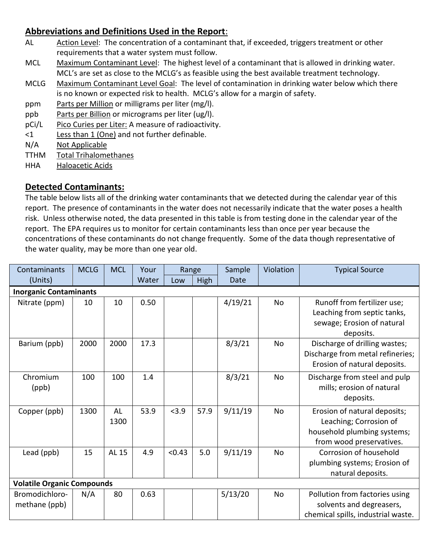### **Abbreviations and Definitions Used in the Report**:

- AL Action Level: The concentration of a contaminant that, if exceeded, triggers treatment or other requirements that a water system must follow.
- MCL Maximum Contaminant Level: The highest level of a contaminant that is allowed in drinking water. MCL's are set as close to the MCLG's as feasible using the best available treatment technology.
- MCLG Maximum Contaminant Level Goal: The level of contamination in drinking water below which there is no known or expected risk to health. MCLG's allow for a margin of safety.
- ppm Parts per Million or milligrams per liter (mg/l).
- ppb Parts per Billion or micrograms per liter (ug/l).
- pCi/L Pico Curies per Liter: A measure of radioactivity.
- <1 Less than 1 (One) and not further definable.
- N/A Not Applicable
- TTHM Total Trihalomethanes
- HHA Haloacetic Acids

#### **Detected Contaminants:**

The table below lists all of the drinking water contaminants that we detected during the calendar year of this report. The presence of contaminants in the water does not necessarily indicate that the water poses a health risk. Unless otherwise noted, the data presented in this table is from testing done in the calendar year of the report. The EPA requires us to monitor for certain contaminants less than once per year because the concentrations of these contaminants do not change frequently. Some of the data though representative of the water quality, may be more than one year old.

| Contaminants                      | <b>MCLG</b> | <b>MCL</b>        | Your  | Range  |      | Sample  | Violation | <b>Typical Source</b>                                                                                             |  |  |  |  |  |
|-----------------------------------|-------------|-------------------|-------|--------|------|---------|-----------|-------------------------------------------------------------------------------------------------------------------|--|--|--|--|--|
| (Units)                           |             |                   | Water | Low    | High | Date    |           |                                                                                                                   |  |  |  |  |  |
| <b>Inorganic Contaminants</b>     |             |                   |       |        |      |         |           |                                                                                                                   |  |  |  |  |  |
| Nitrate (ppm)                     | 10          | 10                | 0.50  |        |      | 4/19/21 | No        | Runoff from fertilizer use;<br>Leaching from septic tanks,<br>sewage; Erosion of natural<br>deposits.             |  |  |  |  |  |
| Barium (ppb)                      | 2000        | 2000              | 17.3  |        |      | 8/3/21  | No        | Discharge of drilling wastes;<br>Discharge from metal refineries;<br>Erosion of natural deposits.                 |  |  |  |  |  |
| Chromium<br>(ppb)                 | 100         | 100               | 1.4   |        |      | 8/3/21  | No        | Discharge from steel and pulp<br>mills; erosion of natural<br>deposits.                                           |  |  |  |  |  |
| Copper (ppb)                      | 1300        | <b>AL</b><br>1300 | 53.9  | < 3.9  | 57.9 | 9/11/19 | No        | Erosion of natural deposits;<br>Leaching; Corrosion of<br>household plumbing systems;<br>from wood preservatives. |  |  |  |  |  |
| Lead (ppb)                        | 15          | AL 15             | 4.9   | < 0.43 | 5.0  | 9/11/19 | No        | Corrosion of household<br>plumbing systems; Erosion of<br>natural deposits.                                       |  |  |  |  |  |
| <b>Volatile Organic Compounds</b> |             |                   |       |        |      |         |           |                                                                                                                   |  |  |  |  |  |
| Bromodichloro-<br>methane (ppb)   | N/A         | 80                | 0.63  |        |      | 5/13/20 | No        | Pollution from factories using<br>solvents and degreasers,<br>chemical spills, industrial waste.                  |  |  |  |  |  |